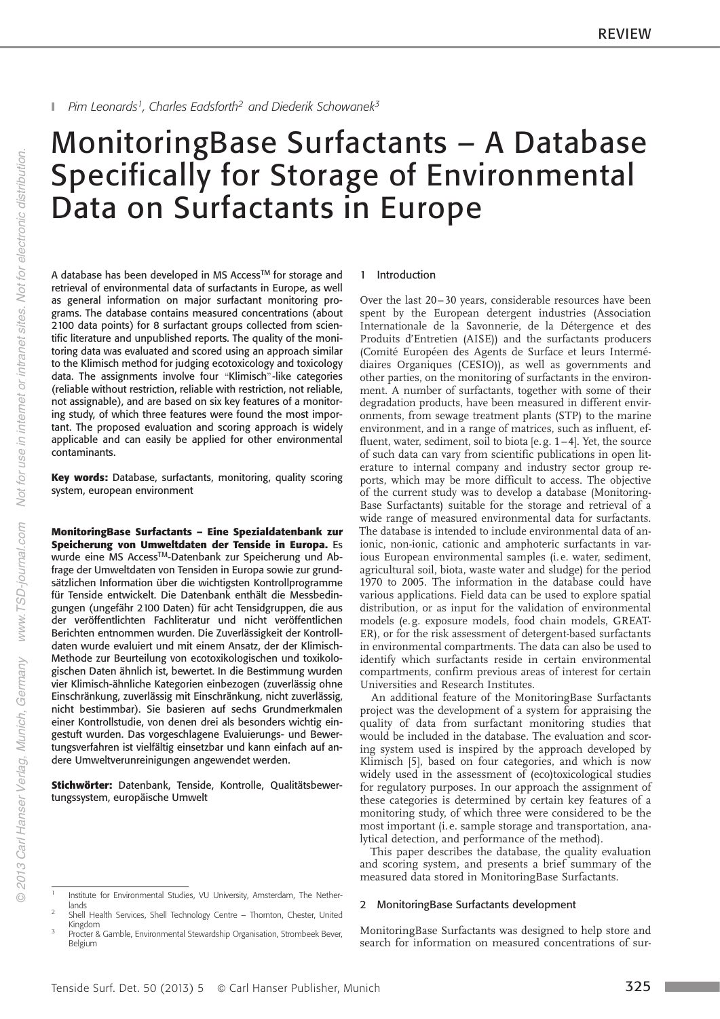# MonitoringBase Surfactants–A Database Specifically for Storage of Environmental Data on Surfactants in Europe

A database has been developed in MS Access™ for storage and retrieval of environmental data of surfactants in Europe, as well as general information on major surfactant monitoring programs. The database contains measured concentrations (about 2100 data points) for 8 surfactant groups collected from scientific literature and unpublished reports. The quality of the monitoring data was evaluated and scored using an approach similar to the Klimisch method for judging ecotoxicology and toxicology data. The assignments involve four "Klimisch"-like categories (reliable without restriction, reliable with restriction, not reliable, not assignable), and are based on six key features of a monitoring study, of which three features were found the most important. The proposed evaluation and scoring approach is widely applicable and can easily be applied for other environmental contaminants.

Key words: Database, surfactants, monitoring, quality scoring system, european environment

MonitoringBase Surfactants – Eine Spezialdatenbank zur Speicherung von Umweltdaten der Tenside in Europa. Es wurde eine MS AccessTM-Datenbank zur Speicherung und Abfrage der Umweltdaten von Tensiden in Europa sowie zur grundsätzlichen Information über die wichtigsten Kontrollprogramme für Tenside entwickelt. Die Datenbank enthält die Messbedingungen (ungefähr 2100 Daten) für acht Tensidgruppen, die aus der veröffentlichten Fachliteratur und nicht veröffentlichen Berichten entnommen wurden. Die Zuverlässigkeit der Kontrolldaten wurde evaluiert und mit einem Ansatz, der der Klimisch-Methode zur Beurteilung von ecotoxikologischen und toxikologischen Daten ähnlich ist, bewertet. In die Bestimmung wurden vier Klimisch-ähnliche Kategorien einbezogen (zuverlässig ohne Einschränkung, zuverlässig mit Einschränkung, nicht zuverlässig, nicht bestimmbar). Sie basieren auf sechs Grundmerkmalen einer Kontrollstudie, von denen drei als besonders wichtig eingestuft wurden. Das vorgeschlagene Evaluierungs- und Bewertungsverfahren ist vielfältig einsetzbar und kann einfach auf andere Umweltverunreinigungen angewendet werden.

Stichwörter: Datenbank, Tenside, Kontrolle, Qualitätsbewertungssystem, europäische Umwelt

#### 1 Introduction

Over the last 20-30 years, considerable resources have been spent by the European detergent industries (Association Internationale de la Savonnerie, de la Détergence et des Produits d'Entretien (AISE)) and the surfactants producers (Comité Européen des Agents de Surface et leurs Intermédiaires Organiques (CESIO)), as well as governments and other parties, on the monitoring of surfactants in the environment. A number of surfactants, together with some of their degradation products, have been measured in different environments, from sewage treatment plants (STP) to the marine environment, and in a range of matrices, such as influent, effluent, water, sediment, soil to biota [e. g. 1–4]. Yet, the source of such data can vary from scientific publications in open literature to internal company and industry sector group reports, which may be more difficult to access. The objective of the current study was to develop a database (Monitoring-Base Surfactants) suitable for the storage and retrieval of a wide range of measured environmental data for surfactants. The database is intended to include environmental data of anionic, non-ionic, cationic and amphoteric surfactants in various European environmental samples (i. e. water, sediment, agricultural soil, biota, waste water and sludge) for the period 1970 to 2005. The information in the database could have various applications. Field data can be used to explore spatial distribution, or as input for the validation of environmental models (e. g. exposure models, food chain models, GREAT-ER), or for the risk assessment of detergent-based surfactants in environmental compartments. The data can also be used to identify which surfactants reside in certain environmental compartments, confirm previous areas of interest for certain Universities and Research Institutes.

An additional feature of the MonitoringBase Surfactants project was the development of a system for appraising the quality of data from surfactant monitoring studies that would be included in the database. The evaluation and scoring system used is inspired by the approach developed by Klimisch [5], based on four categories, and which is now widely used in the assessment of (eco)toxicological studies for regulatory purposes. In our approach the assignment of these categories is determined by certain key features of a monitoring study, of which three were considered to be the most important (i. e. sample storage and transportation, analytical detection, and performance of the method).

This paper describes the database, the quality evaluation and scoring system, and presents a brief summary of the measured data stored in MonitoringBase Surfactants.

# 2 MonitoringBase Surfactants development

MonitoringBase Surfactants was designed to help store and search for information on measured concentrations of sur-

<sup>1</sup> Institute for Environmental Studies, VU University, Amsterdam, The Netherlands

<sup>2</sup> Shell Health Services, Shell Technology Centre – Thornton, Chester, United Kingdom 3

Procter & Gamble, Environmental Stewardship Organisation, Strombeek Bever, Belgium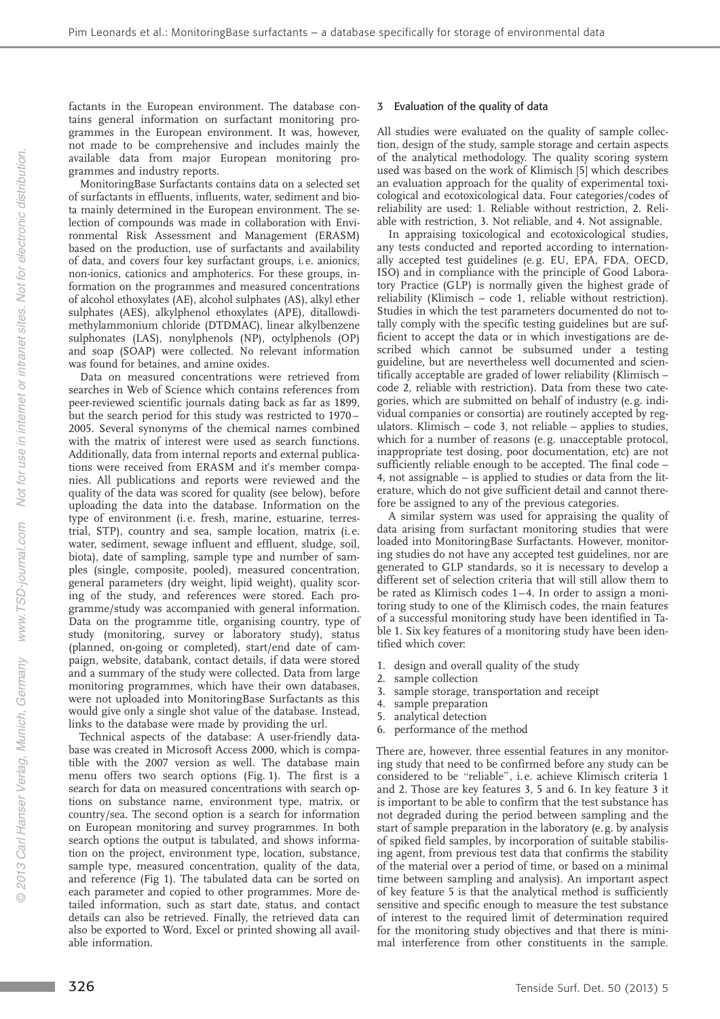factants in the European environment. The database contains general information on surfactant monitoring programmes in the European environment. It was, however, not made to be comprehensive and includes mainly the available data from major European monitoring programmes and industry reports.

MonitoringBase Surfactants contains data on a selected set of surfactants in effluents, influents, water, sediment and biota mainly determined in the European environment. The selection of compounds was made in collaboration with Environmental Risk Assessment and Management (ERASM) based on the production, use of surfactants and availability of data, and covers four key surfactant groups, i. e. anionics, non-ionics, cationics and amphoterics. For these groups, information on the programmes and measured concentrations of alcohol ethoxylates (AE), alcohol sulphates (AS), alkyl ether sulphates (AES), alkylphenol ethoxylates (APE), ditallowdimethylammonium chloride (DTDMAC), linear alkylbenzene sulphonates (LAS), nonylphenols (NP), octylphenols (OP) and soap (SOAP) were collected. No relevant information was found for betaines, and amine oxides.

Data on measured concentrations were retrieved from searches in Web of Science which contains references from peer-reviewed scientific journals dating back as far as 1899, but the search period for this study was restricted to 1970 – 2005. Several synonyms of the chemical names combined with the matrix of interest were used as search functions. Additionally, data from internal reports and external publications were received from ERASM and it's member companies. All publications and reports were reviewed and the quality of the data was scored for quality (see below), before uploading the data into the database. Information on the type of environment (i. e. fresh, marine, estuarine, terrestrial, STP), country and sea, sample location, matrix (i. e. water, sediment, sewage influent and effluent, sludge, soil, biota), date of sampling, sample type and number of samples (single, composite, pooled), measured concentration, general parameters (dry weight, lipid weight), quality scoring of the study, and references were stored. Each programme/study was accompanied with general information. Data on the programme title, organising country, type of study (monitoring, survey or laboratory study), status (planned, on-going or completed), start/end date of campaign, website, databank, contact details, if data were stored and a summary of the study were collected. Data from large monitoring programmes, which have their own databases, were not uploaded into MonitoringBase Surfactants as this would give only a single shot value of the database. Instead, links to the database were made by providing the url.

Technical aspects of the database: A user-friendly database was created in Microsoft Access 2000, which is compatible with the 2007 version as well. The database main menu offers two search options (Fig. 1). The first is a search for data on measured concentrations with search options on substance name, environment type, matrix, or country/sea. The second option is a search for information on European monitoring and survey programmes. In both search options the output is tabulated, and shows information on the project, environment type, location, substance, sample type, measured concentration, quality of the data, and reference (Fig 1). The tabulated data can be sorted on each parameter and copied to other programmes. More detailed information, such as start date, status, and contact details can also be retrieved. Finally, the retrieved data can also be exported to Word, Excel or printed showing all available information.

# 3 Evaluation of the quality of data

All studies were evaluated on the quality of sample collection, design of the study, sample storage and certain aspects of the analytical methodology. The quality scoring system used was based on the work of Klimisch [5] which describes an evaluation approach for the quality of experimental toxicological and ecotoxicological data. Four categories/codes of reliability are used: 1. Reliable without restriction, 2. Reliable with restriction, 3. Not reliable, and 4. Not assignable.

In appraising toxicological and ecotoxicological studies, any tests conducted and reported according to internationally accepted test guidelines (e. g. EU, EPA, FDA, OECD, ISO) and in compliance with the principle of Good Laboratory Practice (GLP) is normally given the highest grade of reliability (Klimisch – code 1, reliable without restriction). Studies in which the test parameters documented do not totally comply with the specific testing guidelines but are sufficient to accept the data or in which investigations are described which cannot be subsumed under a testing guideline, but are nevertheless well documented and scientifically acceptable are graded of lower reliability (Klimisch – code 2, reliable with restriction). Data from these two categories, which are submitted on behalf of industry (e. g. individual companies or consortia) are routinely accepted by regulators. Klimisch – code 3, not reliable – applies to studies, which for a number of reasons (e. g. unacceptable protocol, inappropriate test dosing, poor documentation, etc) are not sufficiently reliable enough to be accepted. The final code – 4, not assignable – is applied to studies or data from the literature, which do not give sufficient detail and cannot therefore be assigned to any of the previous categories.

A similar system was used for appraising the quality of data arising from surfactant monitoring studies that were loaded into MonitoringBase Surfactants. However, monitoring studies do not have any accepted test guidelines, nor are generated to GLP standards, so it is necessary to develop a different set of selection criteria that will still allow them to be rated as Klimisch codes 1–4. In order to assign a monitoring study to one of the Klimisch codes, the main features of a successful monitoring study have been identified in Table 1. Six key features of a monitoring study have been identified which cover:

- 1. design and overall quality of the study
- 2. sample collection
- 3. sample storage, transportation and receipt
- 4. sample preparation
- 5. analytical detection
- 6. performance of the method

There are, however, three essential features in any monitoring study that need to be confirmed before any study can be considered to be "reliable", i.e. achieve Klimisch criteria 1 and 2. Those are key features 3, 5 and 6. In key feature 3 it is important to be able to confirm that the test substance has not degraded during the period between sampling and the start of sample preparation in the laboratory (e. g. by analysis of spiked field samples, by incorporation of suitable stabilising agent, from previous test data that confirms the stability of the material over a period of time, or based on a minimal time between sampling and analysis). An important aspect of key feature 5 is that the analytical method is sufficiently sensitive and specific enough to measure the test substance of interest to the required limit of determination required for the monitoring study objectives and that there is minimal interference from other constituents in the sample.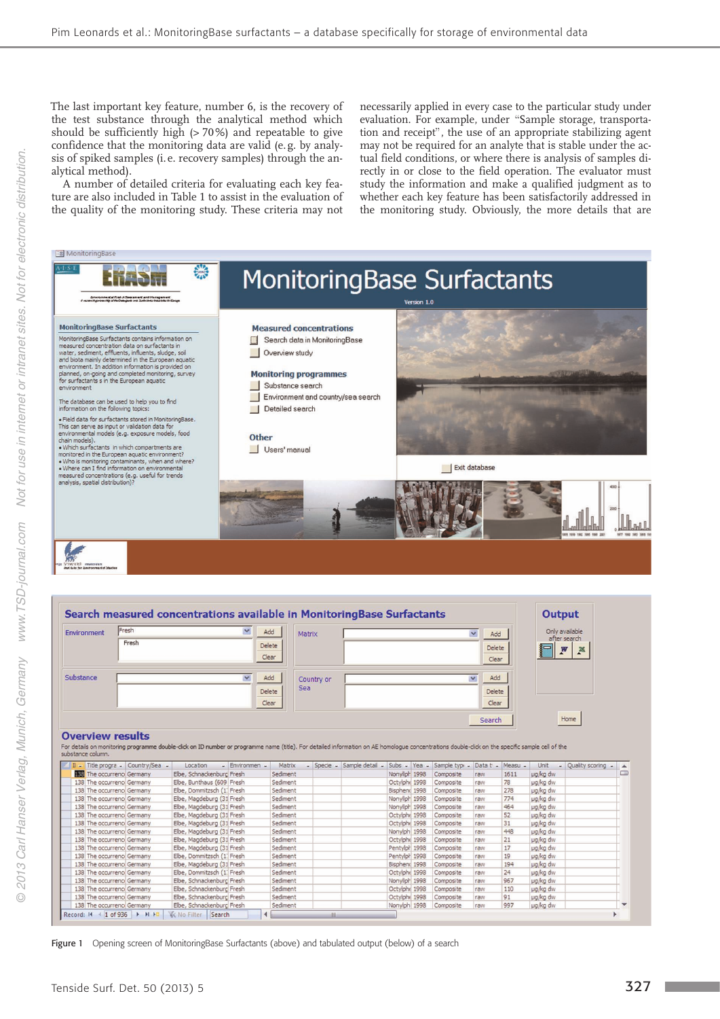The last important key feature, number 6, is the recovery of the test substance through the analytical method which should be sufficiently high (> 70%) and repeatable to give confidence that the monitoring data are valid (e. g. by analysis of spiked samples (i. e. recovery samples) through the analytical method).

A number of detailed criteria for evaluating each key feature are also included in Table 1 to assist in the evaluation of the quality of the monitoring study. These criteria may not

necessarily applied in every case to the particular study under evaluation. For example, under "Sample storage, transportation and receipt", the use of an appropriate stabilizing agent may not be required for an analyte that is stable under the actual field conditions, or where there is analysis of samples directly in or close to the field operation. The evaluator must study the information and make a qualified judgment as to whether each key feature has been satisfactorily addressed in the monitoring study. Obviously, the more details that are



Figure 1 Opening screen of MonitoringBase Surfactants (above) and tabulated output (below) of a search

 $\vert \cdot \vert$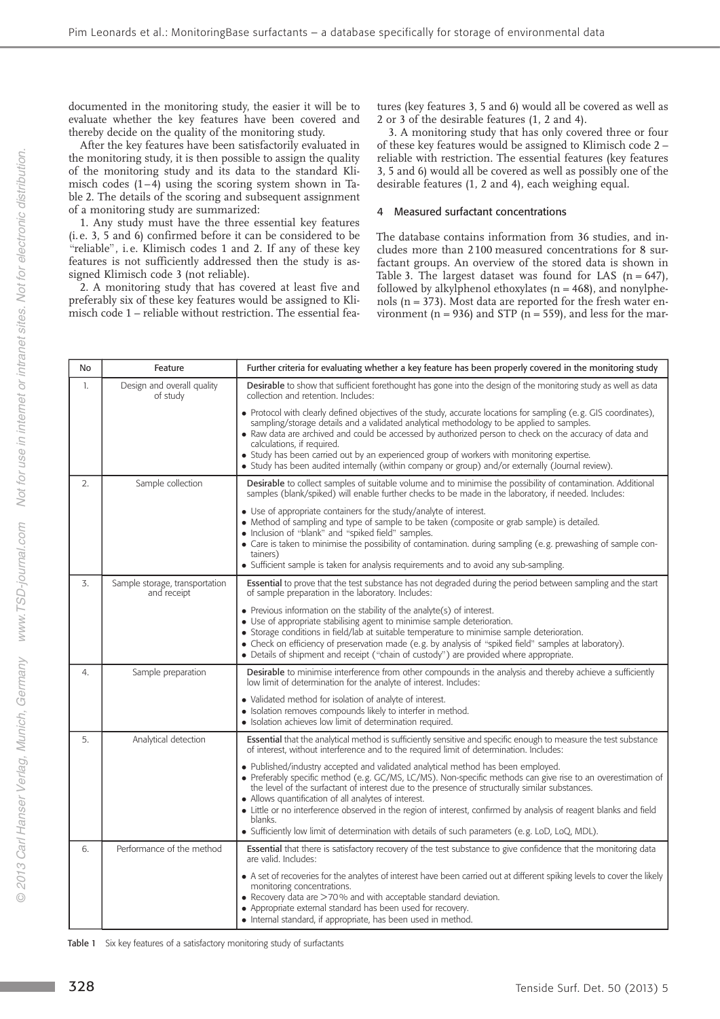documented in the monitoring study, the easier it will be to evaluate whether the key features have been covered and thereby decide on the quality of the monitoring study.

After the key features have been satisfactorily evaluated in the monitoring study, it is then possible to assign the quality of the monitoring study and its data to the standard Klimisch codes  $(1-\overline{4})$  using the scoring system shown in Table 2. The details of the scoring and subsequent assignment of a monitoring study are summarized:

1. Any study must have the three essential key features (i. e. 3, 5 and 6) confirmed before it can be considered to be  $\alpha$ <sup>i</sup>reliable", i.e. Klimisch codes 1 and 2. If any of these key features is not sufficiently addressed then the study is assigned Klimisch code 3 (not reliable).

2. A monitoring study that has covered at least five and preferably six of these key features would be assigned to Klimisch code 1–reliable without restriction. The essential features (key features 3, 5 and 6) would all be covered as well as 2 or 3 of the desirable features (1, 2 and 4).

3. A monitoring study that has only covered three or four of these key features would be assigned to Klimisch code 2 – reliable with restriction. The essential features (key features 3, 5 and 6) would all be covered as well as possibly one of the desirable features (1, 2 and 4), each weighing equal.

### 4 Measured surfactant concentrations

The database contains information from 36 studies, and includes more than 2 100 measured concentrations for 8 surfactant groups. An overview of the stored data is shown in Table 3. The largest dataset was found for LAS  $(n = 647)$ , followed by alkylphenol ethoxylates  $(n = 468)$ , and nonylphenols ( $n = 373$ ). Most data are reported for the fresh water environment ( $n = 936$ ) and STP ( $n = 559$ ), and less for the mar-

| No | Feature                                       | Further criteria for evaluating whether a key feature has been properly covered in the monitoring study                                                                                                                                                                                                                                                                                                                                                                                                                                                                                        |  |  |  |
|----|-----------------------------------------------|------------------------------------------------------------------------------------------------------------------------------------------------------------------------------------------------------------------------------------------------------------------------------------------------------------------------------------------------------------------------------------------------------------------------------------------------------------------------------------------------------------------------------------------------------------------------------------------------|--|--|--|
| 1. | Design and overall quality<br>of study        | Desirable to show that sufficient forethought has gone into the design of the monitoring study as well as data<br>collection and retention. Includes:                                                                                                                                                                                                                                                                                                                                                                                                                                          |  |  |  |
|    |                                               | • Protocol with clearly defined objectives of the study, accurate locations for sampling (e.g. GIS coordinates),<br>sampling/storage details and a validated analytical methodology to be applied to samples.<br>• Raw data are archived and could be accessed by authorized person to check on the accuracy of data and<br>calculations, if required.<br>• Study has been carried out by an experienced group of workers with monitoring expertise.<br>• Study has been audited internally (within company or group) and/or externally (Journal review).                                      |  |  |  |
| 2. | Sample collection                             | Desirable to collect samples of suitable volume and to minimise the possibility of contamination. Additional<br>samples (blank/spiked) will enable further checks to be made in the laboratory, if needed. Includes:                                                                                                                                                                                                                                                                                                                                                                           |  |  |  |
|    |                                               | • Use of appropriate containers for the study/analyte of interest.<br>• Method of sampling and type of sample to be taken (composite or grab sample) is detailed.<br>• Inclusion of "blank" and "spiked field" samples.<br>• Care is taken to minimise the possibility of contamination. during sampling (e.g. prewashing of sample con-<br>tainers)<br>• Sufficient sample is taken for analysis requirements and to avoid any sub-sampling.                                                                                                                                                  |  |  |  |
| 3. | Sample storage, transportation<br>and receipt | Essential to prove that the test substance has not degraded during the period between sampling and the start<br>of sample preparation in the laboratory. Includes:                                                                                                                                                                                                                                                                                                                                                                                                                             |  |  |  |
|    |                                               | $\bullet$ Previous information on the stability of the analyte(s) of interest.<br>• Use of appropriate stabilising agent to minimise sample deterioration.<br>• Storage conditions in field/lab at suitable temperature to minimise sample deterioration.<br>• Check on efficiency of preservation made (e.g. by analysis of "spiked field" samples at laboratory).<br>• Details of shipment and receipt ("chain of custody") are provided where appropriate.                                                                                                                                  |  |  |  |
| 4. | Sample preparation                            | Desirable to minimise interference from other compounds in the analysis and thereby achieve a sufficiently<br>low limit of determination for the analyte of interest. Includes:                                                                                                                                                                                                                                                                                                                                                                                                                |  |  |  |
|    |                                               | • Validated method for isolation of analyte of interest.<br>· Isolation removes compounds likely to interfer in method.<br>• Isolation achieves low limit of determination required.                                                                                                                                                                                                                                                                                                                                                                                                           |  |  |  |
| 5. | Analytical detection                          | <b>Essential</b> that the analytical method is sufficiently sensitive and specific enough to measure the test substance<br>of interest, without interference and to the required limit of determination. Includes:                                                                                                                                                                                                                                                                                                                                                                             |  |  |  |
|    |                                               | • Published/industry accepted and validated analytical method has been employed.<br>• Preferably specific method (e.g. GC/MS, LC/MS). Non-specific methods can give rise to an overestimation of<br>the level of the surfactant of interest due to the presence of structurally similar substances.<br>• Allows quantification of all analytes of interest.<br>• Little or no interference observed in the region of interest, confirmed by analysis of reagent blanks and field<br>blanks.<br>• Sufficiently low limit of determination with details of such parameters (e.g. LoD, LoQ, MDL). |  |  |  |
| 6. | Performance of the method                     | Essential that there is satisfactory recovery of the test substance to give confidence that the monitoring data<br>are valid. Includes:                                                                                                                                                                                                                                                                                                                                                                                                                                                        |  |  |  |
|    |                                               | • A set of recoveries for the analytes of interest have been carried out at different spiking levels to cover the likely<br>monitoring concentrations.<br>• Recovery data are >70% and with acceptable standard deviation.<br>• Appropriate external standard has been used for recovery.<br>· Internal standard, if appropriate, has been used in method.                                                                                                                                                                                                                                     |  |  |  |

Table 1 Six key features of a satisfactory monitoring study of surfactants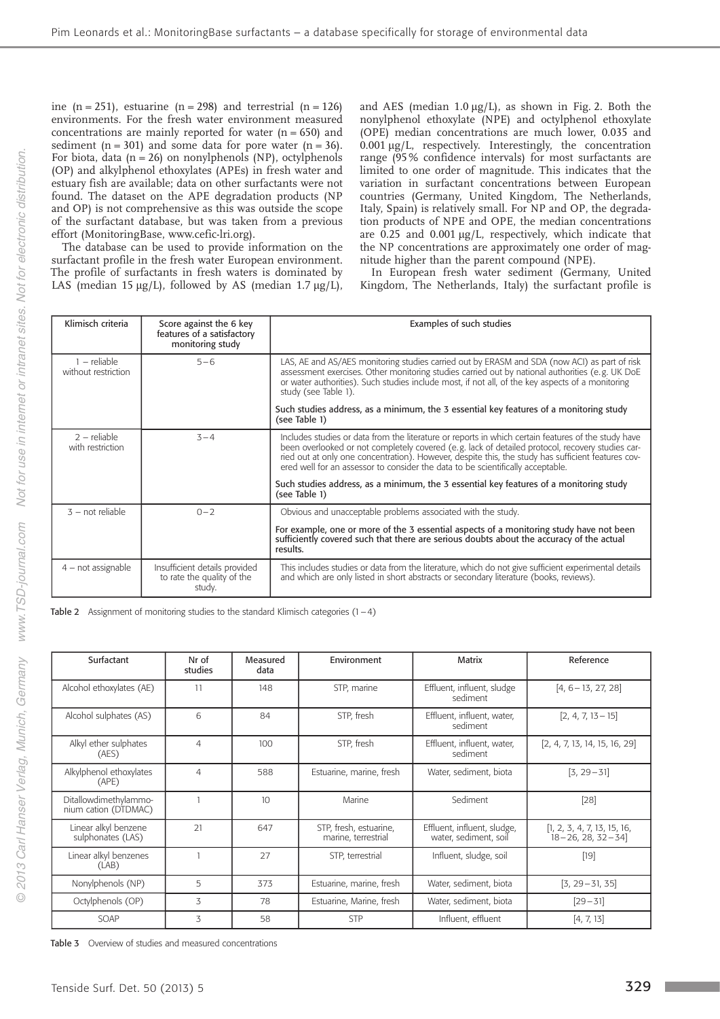ine  $(n = 251)$ , estuarine  $(n = 298)$  and terrestrial  $(n = 126)$ environments. For the fresh water environment measured concentrations are mainly reported for water  $(n = 650)$  and sediment ( $n = 301$ ) and some data for pore water ( $n = 36$ ). For biota, data ( $n = 26$ ) on nonylphenols (NP), octylphenols (OP) and alkylphenol ethoxylates (APEs) in fresh water and estuary fish are available; data on other surfactants were not found. The dataset on the APE degradation products (NP and OP) is not comprehensive as this was outside the scope of the surfactant database, but was taken from a previous effort (MonitoringBase, www.cefic-lri.org).

The database can be used to provide information on the surfactant profile in the fresh water European environment. The profile of surfactants in fresh waters is dominated by LAS (median 15  $\mu$ g/L), followed by AS (median 1.7  $\mu$ g/L),

and AES (median  $1.0 \mu g/L$ ), as shown in Fig. 2. Both the nonylphenol ethoxylate (NPE) and octylphenol ethoxylate (OPE) median concentrations are much lower, 0.035 and 0.001 µg/L, respectively. Interestingly, the concentration range (95% confidence intervals) for most surfactants are limited to one order of magnitude. This indicates that the variation in surfactant concentrations between European countries (Germany, United Kingdom, The Netherlands, Italy, Spain) is relatively small. For NP and OP, the degradation products of NPE and OPE, the median concentrations are  $0.25$  and  $0.001 \mu g/L$ , respectively, which indicate that the NP concentrations are approximately one order of magnitude higher than the parent compound (NPE).

In European fresh water sediment (Germany, United Kingdom, The Netherlands, Italy) the surfactant profile is

| Klimisch criteria                            | Score against the 6 key<br>features of a satisfactory<br>monitoring study | Examples of such studies                                                                                                                                                                                                                                                                                                                                                                         |  |  |
|----------------------------------------------|---------------------------------------------------------------------------|--------------------------------------------------------------------------------------------------------------------------------------------------------------------------------------------------------------------------------------------------------------------------------------------------------------------------------------------------------------------------------------------------|--|--|
| – reliable<br>$5 - 6$<br>without restriction |                                                                           | LAS, AE and AS/AES monitoring studies carried out by ERASM and SDA (now ACI) as part of risk<br>assessment exercises. Other monitoring studies carried out by national authorities (e.g. UK DoE<br>or water authorities). Such studies include most, if not all, of the key aspects of a monitoring<br>study (see Table 1).                                                                      |  |  |
|                                              |                                                                           | Such studies address, as a minimum, the 3 essential key features of a monitoring study<br>(see Table 1)                                                                                                                                                                                                                                                                                          |  |  |
| $2$ – reliable<br>with restriction           | $3 - 4$                                                                   | Includes studies or data from the literature or reports in which certain features of the study have<br>been overlooked or not completely covered (e.g. lack of detailed protocol, recovery studies car-<br>ried out at only one concentration). However, despite this, the study has sufficient features cov-<br>ered well for an assessor to consider the data to be scientifically acceptable. |  |  |
|                                              |                                                                           | Such studies address, as a minimum, the 3 essential key features of a monitoring study<br>(see Table 1)                                                                                                                                                                                                                                                                                          |  |  |
| $3$ – not reliable                           | $0 - 2$                                                                   | Obvious and unacceptable problems associated with the study.                                                                                                                                                                                                                                                                                                                                     |  |  |
|                                              |                                                                           | For example, one or more of the 3 essential aspects of a monitoring study have not been<br>sufficiently covered such that there are serious doubts about the accuracy of the actual<br>results.                                                                                                                                                                                                  |  |  |
| 4 – not assignable                           | Insufficient details provided<br>to rate the quality of the<br>study.     | This includes studies or data from the literature, which do not give sufficient experimental details<br>and which are only listed in short abstracts or secondary literature (books, reviews).                                                                                                                                                                                                   |  |  |

Table 2 Assignment of monitoring studies to the standard Klimisch categories  $(1-4)$ 

| Surfactant                                    | Nr of<br>studies | Measured<br>data | Environment                                   | Matrix                                               | Reference                                                 |
|-----------------------------------------------|------------------|------------------|-----------------------------------------------|------------------------------------------------------|-----------------------------------------------------------|
| Alcohol ethoxylates (AE)                      | 11               | 148              | STP, marine                                   | Effluent, influent, sludge<br>sediment               | $[4, 6 - 13, 27, 28]$                                     |
| Alcohol sulphates (AS)                        | 6                | 84               | STP, fresh                                    | Effluent, influent, water,<br>sediment               | $[2, 4, 7, 13 - 15]$                                      |
| Alkyl ether sulphates<br>(AES)                | 4                | 100              | STP, fresh                                    | Effluent, influent, water,<br>sediment               | [2, 4, 7, 13, 14, 15, 16, 29]                             |
| Alkylphenol ethoxylates<br>(APE)              | 4                | 588              | Estuarine, marine, fresh                      | Water, sediment, biota                               | $[3, 29 - 31]$                                            |
| Ditallowdimethylammo-<br>nium cation (DTDMAC) |                  | 10 <sup>2</sup>  | Marine                                        | Sediment                                             | $[28]$                                                    |
| Linear alkyl benzene<br>sulphonates (LAS)     | 21               | 647              | STP, fresh, estuarine,<br>marine, terrestrial | Effluent, influent, sludge,<br>water, sediment, soil | [1, 2, 3, 4, 7, 13, 15, 16,<br>$18 - 26$ , 28, 32 $-34$ ] |
| Linear alkyl benzenes<br>(LAB)                |                  | 27               | STP, terrestrial                              | Influent, sludge, soil                               | $[19]$                                                    |
| Nonylphenols (NP)                             | 5                | 373              | Estuarine, marine, fresh                      | Water, sediment, biota                               | $[3, 29 - 31, 35]$                                        |
| Octylphenols (OP)                             | 3                | 78               | Estuarine, Marine, fresh                      | Water, sediment, biota                               | $[29 - 31]$                                               |
| SOAP                                          | 3                | 58               | <b>STP</b>                                    | Influent, effluent                                   | [4, 7, 13]                                                |

Table 3 Overview of studies and measured concentrations

**Contract Contract** 

 $\odot$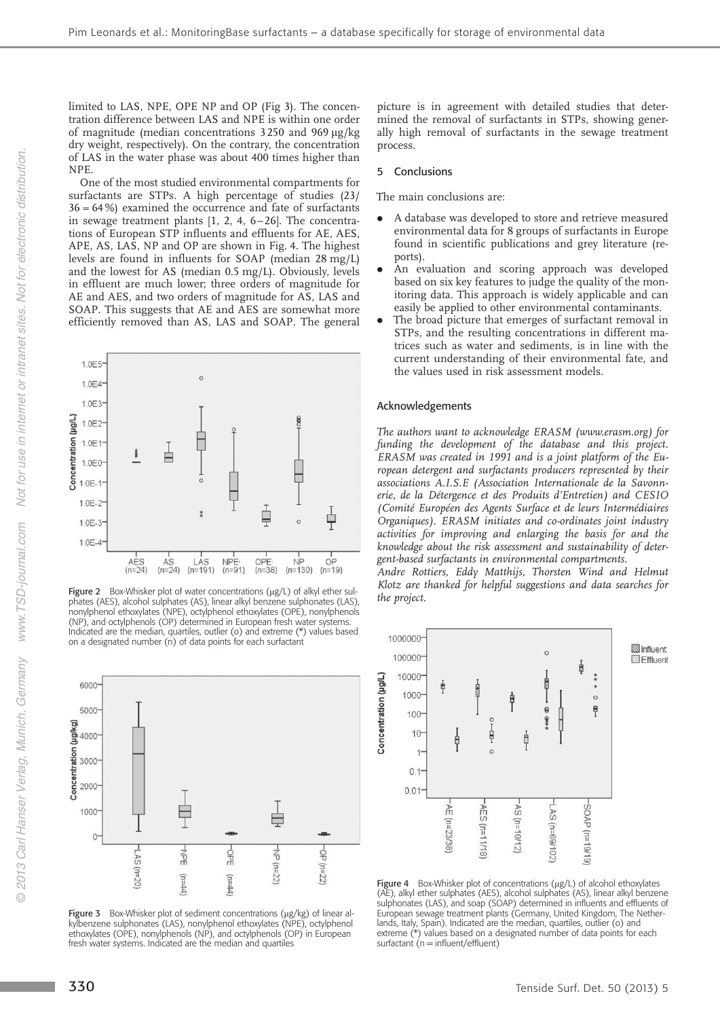limited to LAS, NPE, OPE NP and OP (Fig 3). The concentration difference between LAS and NPE is within one order of magnitude (median concentrations  $3250$  and  $969 \mu g/kg$ dry weight, respectively). On the contrary, the concentration of LAS in the water phase was about 400 times higher than NPE.

One of the most studied environmental compartments for surfactants are STPs. A high percentage of studies (23/ 36 = 64%) examined the occurrence and fate of surfactants in sewage treatment plants [1, 2, 4, 6–26]. The concentrations of European STP influents and effluents for AE, AES, APE, AS, LAS, NP and OP are shown in Fig. 4. The highest levels are found in influents for SOAP (median 28 mg/L) and the lowest for AS (median 0.5 mg/L). Obviously, levels in effluent are much lower; three orders of magnitude for AE and AES, and two orders of magnitude for AS, LAS and SOAP. This suggests that AE and AES are somewhat more efficiently removed than AS, LAS and SOAP. The general



Figure 2 Box-Whisker plot of water concentrations  $(\mu g/L)$  of alkyl ether sulphates (AES), alcohol sulphates (AS), linear alkyl benzene sulphonates (LAS), nonylphenol ethoxylates (NPE), octylphenol ethoxylates (OPE), nonylphenols (NP), and octylphenols (OP) determined in European fresh water systems. Indicated are the median, quartiles, outlier (o) and extreme (\*) values based on a designated number (n) of data points for each surfactant



Figure 3 Box-Whisker plot of sediment concentrations ( $\mu$ g/kg) of linear alkylbenzene sulphonates (LAS), nonylphenol ethoxylates (NPE), octylphenol ethoxylates (OPE), nonylphenols (NP), and octylphenols (OP) in European fresh water systems. Indicated are the median and quartiles

picture is in agreement with detailed studies that determined the removal of surfactants in STPs, showing generally high removal of surfactants in the sewage treatment process.

#### 5 Conclusions

The main conclusions are:

- . A database was developed to store and retrieve measured environmental data for 8 groups of surfactants in Europe found in scientific publications and grey literature (reports).
- . An evaluation and scoring approach was developed based on six key features to judge the quality of the monitoring data. This approach is widely applicable and can easily be applied to other environmental contaminants.
- . The broad picture that emerges of surfactant removal in STPs, and the resulting concentrations in different matrices such as water and sediments, is in line with the current understanding of their environmental fate, and the values used in risk assessment models.

#### Acknowledgements

The authors want to acknowledge ERASM (www.erasm.org) for funding the development of the database and this project. ERASM was created in 1991 and is a joint platform of the European detergent and surfactants producers represented by their associations A.I.S.E (Association Internationale de la Savonnerie, de la Détergence et des Produits d'Entretien) and CESIO (Comité Européen des Agents Surface et de leurs Intermédiaires Organiques). ERASM initiates and co-ordinates joint industry activities for improving and enlarging the basis for and the knowledge about the risk assessment and sustainability of detergent-based surfactants in environmental compartments.

Andre Rottiers, Eddy Matthijs, Thorsten Wind and Helmut Klotz are thanked for helpful suggestions and data searches for the project.



Figure 4 Box-Whisker plot of concentrations ( $\mu$ g/L) of alcohol ethoxylates (AE), alkyl ether sulphates (AES), alcohol sulphates (AS), linear alkyl benzene sulphonates (LAS), and soap (SOAP) determined in influents and effluents of European sewage treatment plants (Germany, United Kingdom, The Netherlands, Italy, Spain). Indicated are the median, quartiles, outlier (o) and extreme (\*) values based on a designated number of data points for each surfactant  $(n = influent/effluent)$ 

Not for use in internet or intranet sites. Not for electronic distribution